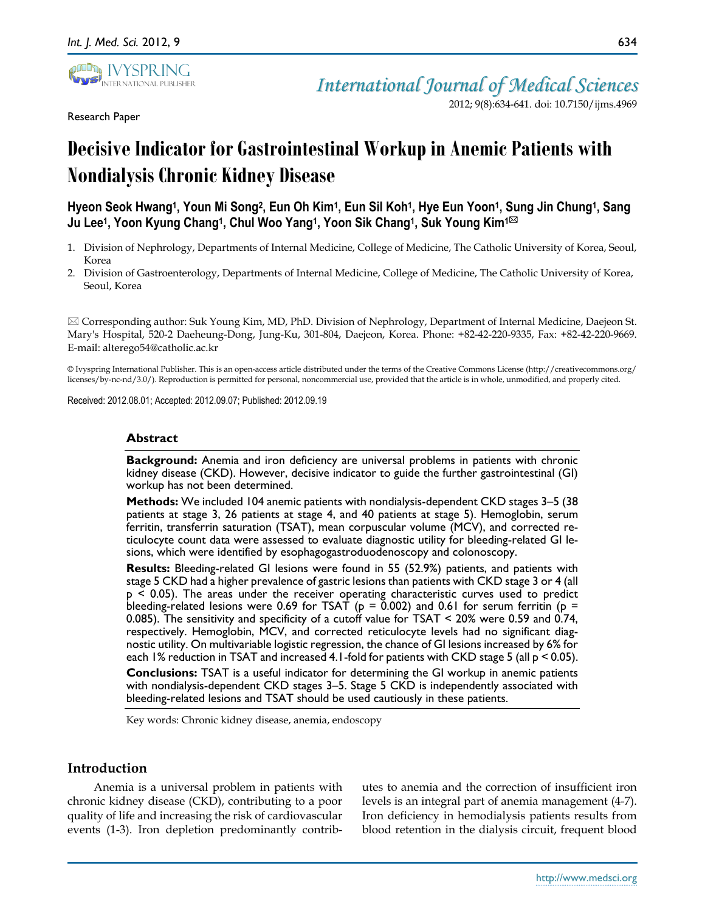

Research Paper

634

*International Journal of Medical Sciences* 2012; 9(8):634-641. doi: 10.7150/ijms.4969

# **Decisive Indicator for Gastrointestinal Workup in Anemic Patients with Nondialysis Chronic Kidney Disease**

**Hyeon Seok Hwang<sup>1</sup> , Youn Mi Song<sup>2</sup> , Eun Oh Kim<sup>1</sup> , Eun Sil Koh<sup>1</sup> , Hye Eun Yoon<sup>1</sup> , Sung Jin Chung<sup>1</sup> , Sang Ju Lee<sup>1</sup> , Yoon Kyung Chang<sup>1</sup> , Chul Woo Yang<sup>1</sup> , Yoon Sik Chang<sup>1</sup> , Suk Young Kim1**

- 1. Division of Nephrology, Departments of Internal Medicine, College of Medicine, The Catholic University of Korea, Seoul, Korea
- 2. Division of Gastroenterology, Departments of Internal Medicine, College of Medicine, The Catholic University of Korea, Seoul, Korea

 Corresponding author: Suk Young Kim, MD, PhD. Division of Nephrology, Department of Internal Medicine, Daejeon St. Mary's Hospital, 520-2 Daeheung-Dong, Jung-Ku, 301-804, Daejeon, Korea. Phone: +82-42-220-9335, Fax: +82-42-220-9669. E-mail: alterego54@catholic.ac.kr

© Ivyspring International Publisher. This is an open-access article distributed under the terms of the Creative Commons License (http://creativecommons.org/ licenses/by-nc-nd/3.0/). Reproduction is permitted for personal, noncommercial use, provided that the article is in whole, unmodified, and properly cited.

Received: 2012.08.01; Accepted: 2012.09.07; Published: 2012.09.19

## **Abstract**

**Background:** Anemia and iron deficiency are universal problems in patients with chronic kidney disease (CKD). However, decisive indicator to guide the further gastrointestinal (GI) workup has not been determined.

**Methods:** We included 104 anemic patients with nondialysis-dependent CKD stages 3–5 (38 patients at stage 3, 26 patients at stage 4, and 40 patients at stage 5). Hemoglobin, serum ferritin, transferrin saturation (TSAT), mean corpuscular volume (MCV), and corrected reticulocyte count data were assessed to evaluate diagnostic utility for bleeding-related GI lesions, which were identified by esophagogastroduodenoscopy and colonoscopy.

**Results:** Bleeding-related GI lesions were found in 55 (52.9%) patients, and patients with stage 5 CKD had a higher prevalence of gastric lesions than patients with CKD stage 3 or 4 (all p < 0.05). The areas under the receiver operating characteristic curves used to predict bleeding-related lesions were 0.69 for TSAT ( $p = 0.002$ ) and 0.61 for serum ferritin ( $p =$ 0.085). The sensitivity and specificity of a cutoff value for TSAT < 20% were 0.59 and 0.74, respectively. Hemoglobin, MCV, and corrected reticulocyte levels had no significant diagnostic utility. On multivariable logistic regression, the chance of GI lesions increased by 6% for each 1% reduction in TSAT and increased 4.1-fold for patients with CKD stage 5 (all p < 0.05).

**Conclusions:** TSAT is a useful indicator for determining the GI workup in anemic patients with nondialysis-dependent CKD stages 3–5. Stage 5 CKD is independently associated with bleeding-related lesions and TSAT should be used cautiously in these patients.

Key words: Chronic kidney disease, anemia, endoscopy

# **Introduction**

Anemia is a universal problem in patients with chronic kidney disease (CKD), contributing to a poor quality of life and increasing the risk of cardiovascular events (1-3). Iron depletion predominantly contributes to anemia and the correction of insufficient iron levels is an integral part of anemia management (4-7). Iron deficiency in hemodialysis patients results from blood retention in the dialysis circuit, frequent blood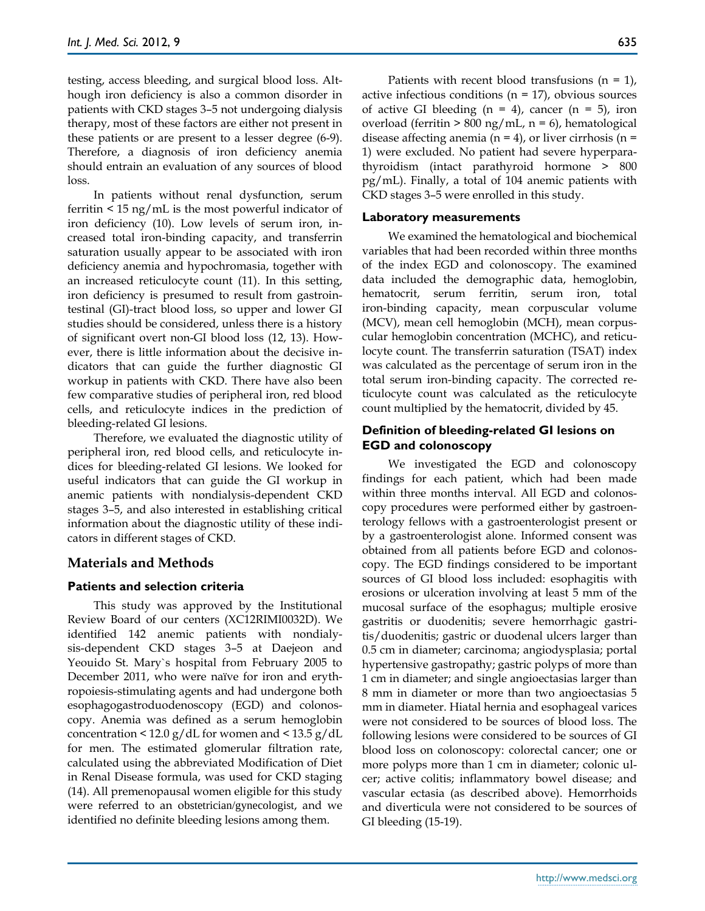testing, access bleeding, and surgical blood loss. Although iron deficiency is also a common disorder in patients with CKD stages 3–5 not undergoing dialysis therapy, most of these factors are either not present in these patients or are present to a lesser degree (6-9). Therefore, a diagnosis of iron deficiency anemia should entrain an evaluation of any sources of blood loss.

In patients without renal dysfunction, serum ferritin < 15 ng/mL is the most powerful indicator of iron deficiency (10). Low levels of serum iron, increased total iron-binding capacity, and transferrin saturation usually appear to be associated with iron deficiency anemia and hypochromasia, together with an increased reticulocyte count (11). In this setting, iron deficiency is presumed to result from gastrointestinal (GI)-tract blood loss, so upper and lower GI studies should be considered, unless there is a history of significant overt non-GI blood loss (12, 13). However, there is little information about the decisive indicators that can guide the further diagnostic GI workup in patients with CKD. There have also been few comparative studies of peripheral iron, red blood cells, and reticulocyte indices in the prediction of bleeding-related GI lesions.

Therefore, we evaluated the diagnostic utility of peripheral iron, red blood cells, and reticulocyte indices for bleeding-related GI lesions. We looked for useful indicators that can guide the GI workup in anemic patients with nondialysis-dependent CKD stages 3–5, and also interested in establishing critical information about the diagnostic utility of these indicators in different stages of CKD.

# **Materials and Methods**

# **Patients and selection criteria**

This study was approved by the Institutional Review Board of our centers (XC12RIMI0032D). We identified 142 anemic patients with nondialysis-dependent CKD stages 3–5 at Daejeon and Yeouido St. Mary`s hospital from February 2005 to December 2011, who were naïve for iron and erythropoiesis-stimulating agents and had undergone both esophagogastroduodenoscopy (EGD) and colonoscopy. Anemia was defined as a serum hemoglobin concentration  $\leq 12.0$  g/dL for women and  $\leq 13.5$  g/dL for men. The estimated glomerular filtration rate, calculated using the abbreviated Modification of Diet in Renal Disease formula, was used for CKD staging (14). All premenopausal women eligible for this study were referred to an obstetrician/gynecologist, and we identified no definite bleeding lesions among them.

Patients with recent blood transfusions  $(n = 1)$ , active infectious conditions ( $n = 17$ ), obvious sources of active GI bleeding  $(n = 4)$ , cancer  $(n = 5)$ , iron overload (ferritin > 800 ng/mL, n = 6), hematological disease affecting anemia ( $n = 4$ ), or liver cirrhosis ( $n = 1$ ) 1) were excluded. No patient had severe hyperparathyroidism (intact parathyroid hormone > 800 pg/mL). Finally, a total of 104 anemic patients with CKD stages 3–5 were enrolled in this study.

#### **Laboratory measurements**

We examined the hematological and biochemical variables that had been recorded within three months of the index EGD and colonoscopy. The examined data included the demographic data, hemoglobin, hematocrit, serum ferritin, serum iron, total iron-binding capacity, mean corpuscular volume (MCV), mean cell hemoglobin (MCH), mean corpuscular hemoglobin concentration (MCHC), and reticulocyte count. The transferrin saturation (TSAT) index was calculated as the percentage of serum iron in the total serum iron-binding capacity. The corrected reticulocyte count was calculated as the reticulocyte count multiplied by the hematocrit, divided by 45.

# **Definition of bleeding-related GI lesions on EGD and colonoscopy**

We investigated the EGD and colonoscopy findings for each patient, which had been made within three months interval. All EGD and colonoscopy procedures were performed either by gastroenterology fellows with a gastroenterologist present or by a gastroenterologist alone. Informed consent was obtained from all patients before EGD and colonoscopy. The EGD findings considered to be important sources of GI blood loss included: esophagitis with erosions or ulceration involving at least 5 mm of the mucosal surface of the esophagus; multiple erosive gastritis or duodenitis; severe hemorrhagic gastritis/duodenitis; gastric or duodenal ulcers larger than 0.5 cm in diameter; carcinoma; angiodysplasia; portal hypertensive gastropathy; gastric polyps of more than 1 cm in diameter; and single angioectasias larger than 8 mm in diameter or more than two angioectasias 5 mm in diameter. Hiatal hernia and esophageal varices were not considered to be sources of blood loss. The following lesions were considered to be sources of GI blood loss on colonoscopy: colorectal cancer; one or more polyps more than 1 cm in diameter; colonic ulcer; active colitis; inflammatory bowel disease; and vascular ectasia (as described above). Hemorrhoids and diverticula were not considered to be sources of GI bleeding (15-19).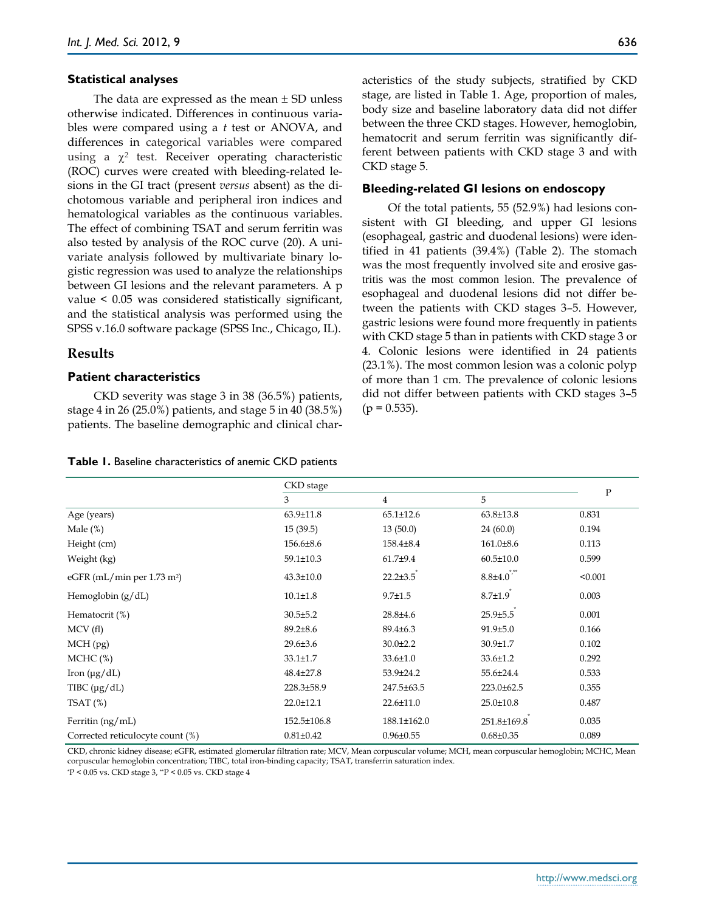#### **Statistical analyses**

The data are expressed as the mean  $\pm$  SD unless otherwise indicated. Differences in continuous variables were compared using a *t* test or ANOVA, and differences in categorical variables were compared using a  $\chi^2$  test. Receiver operating characteristic (ROC) curves were created with bleeding-related lesions in the GI tract (present *versus* absent) as the dichotomous variable and peripheral iron indices and hematological variables as the continuous variables. The effect of combining TSAT and serum ferritin was also tested by analysis of the ROC curve (20). A univariate analysis followed by multivariate binary logistic regression was used to analyze the relationships between GI lesions and the relevant parameters. A p value < 0.05 was considered statistically significant, and the statistical analysis was performed using the SPSS v.16.0 software package (SPSS Inc., Chicago, IL).

#### **Results**

### **Patient characteristics**

CKD severity was stage 3 in 38 (36.5%) patients, stage 4 in 26 (25.0%) patients, and stage 5 in 40 (38.5%) patients. The baseline demographic and clinical characteristics of the study subjects, stratified by CKD stage, are listed in Table 1. Age, proportion of males, body size and baseline laboratory data did not differ between the three CKD stages. However, hemoglobin, hematocrit and serum ferritin was significantly different between patients with CKD stage 3 and with CKD stage 5.

#### **Bleeding-related GI lesions on endoscopy**

Of the total patients, 55 (52.9%) had lesions consistent with GI bleeding, and upper GI lesions (esophageal, gastric and duodenal lesions) were identified in 41 patients (39.4%) (Table 2). The stomach was the most frequently involved site and erosive gastritis was the most common lesion. The prevalence of esophageal and duodenal lesions did not differ between the patients with CKD stages 3–5. However, gastric lesions were found more frequently in patients with CKD stage 5 than in patients with CKD stage 3 or 4. Colonic lesions were identified in 24 patients (23.1%). The most common lesion was a colonic polyp of more than 1 cm. The prevalence of colonic lesions did not differ between patients with CKD stages 3–5  $(p = 0.535)$ .

#### **Table 1.** Baseline characteristics of anemic CKD patients

|                                          | CKD stage       |                 |                  |              |
|------------------------------------------|-----------------|-----------------|------------------|--------------|
|                                          | 3               | $\overline{4}$  | 5                | $\mathbf{P}$ |
| Age (years)                              | 63.9±11.8       | $65.1 \pm 12.6$ | $63.8 \pm 13.8$  | 0.831        |
| Male $(\%)$                              | 15(39.5)        | 13(50.0)        | 24(60.0)         | 0.194        |
| Height (cm)                              | 156.6±8.6       | 158.4±8.4       | $161.0\pm8.6$    | 0.113        |
| Weight (kg)                              | 59.1±10.3       | $61.7 + 9.4$    | $60.5 \pm 10.0$  | 0.599        |
| eGFR (mL/min per $1.73$ m <sup>2</sup> ) | $43.3 \pm 10.0$ | $22.2 \pm 3.5$  | $8.8{\pm}4.0$    | < 0.001      |
| Hemoglobin $(g/dL)$                      | $10.1 \pm 1.8$  | $9.7 \pm 1.5$   | $8.7 \pm 1.9$    | 0.003        |
| Hematocrit (%)                           | $30.5 \pm 5.2$  | 28.8±4.6        | $25.9 \pm 5.5$   | 0.001        |
| MCV(f)                                   | $89.2 \pm 8.6$  | $89.4{\pm}6.3$  | $91.9 \pm 5.0$   | 0.166        |
| MCH (pg)                                 | $29.6 \pm 3.6$  | $30.0 \pm 2.2$  | $30.9 \pm 1.7$   | 0.102        |
| $MCHC$ (%)                               | $33.1 \pm 1.7$  | $33.6 \pm 1.0$  | $33.6 \pm 1.2$   | 0.292        |
| Iron $(\mu g/dL)$                        | 48.4±27.8       | 53.9±24.2       | 55.6±24.4        | 0.533        |
| TIBC $(\mu g/dL)$                        | 228.3±58.9      | 247.5±63.5      | $223.0 \pm 62.5$ | 0.355        |
| $TSAT$ (%)                               | 22.0±12.1       | $22.6 \pm 11.0$ | $25.0 \pm 10.8$  | 0.487        |
| Ferritin (ng/mL)                         | 152.5±106.8     | 188.1±162.0     | 251.8±169.8      | 0.035        |
| Corrected reticulocyte count (%)         | $0.81 \pm 0.42$ | $0.96 \pm 0.55$ | $0.68 \pm 0.35$  | 0.089        |

CKD, chronic kidney disease; eGFR, estimated glomerular filtration rate; MCV, Mean corpuscular volume; MCH, mean corpuscular hemoglobin; MCHC, Mean corpuscular hemoglobin concentration; TIBC, total iron-binding capacity; TSAT, transferrin saturation index.

\*P < 0.05 vs. CKD stage 3, \*\*P < 0.05 vs. CKD stage 4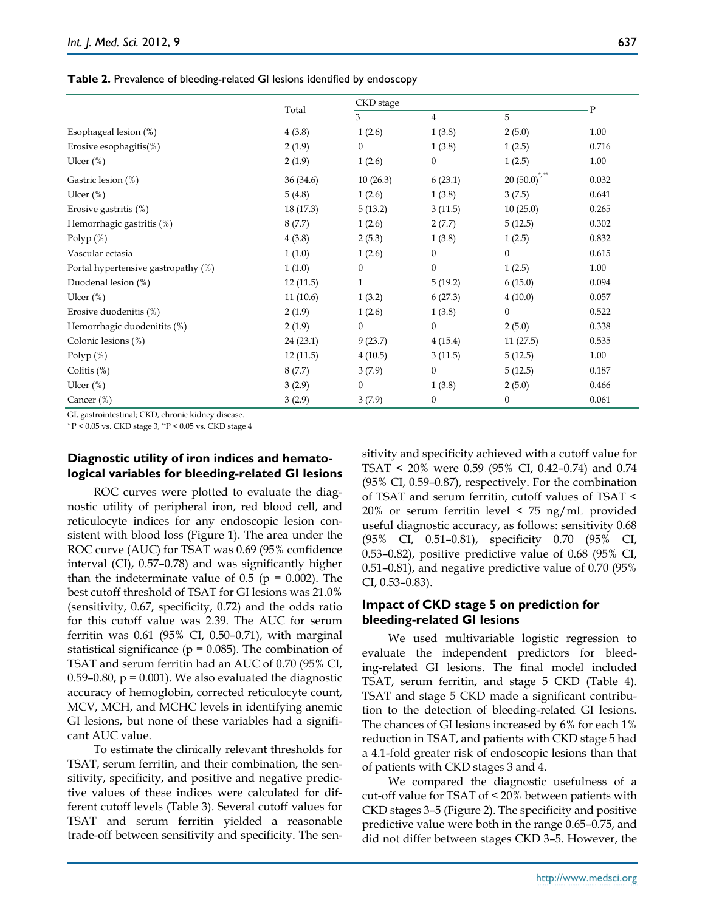**Table 2.** Prevalence of bleeding-related GI lesions identified by endoscopy

|                                     |           | CKD stage        |                  |                  | $\mathbf{P}$ |
|-------------------------------------|-----------|------------------|------------------|------------------|--------------|
|                                     | Total     | 3                | $\overline{4}$   | 5                |              |
| Esophageal lesion (%)               | 4(3.8)    | 1(2.6)           | 1(3.8)           | 2(5.0)           | 1.00         |
| Erosive esophagitis $(\%)$          | 2(1.9)    | $\boldsymbol{0}$ | 1(3.8)           | 1(2.5)           | 0.716        |
| Ulcer $(\%)$                        | 2(1.9)    | 1(2.6)           | $\boldsymbol{0}$ | 1(2.5)           | 1.00         |
| Gastric lesion (%)                  | 36 (34.6) | 10(26.3)         | 6(23.1)          | 20(50.0)         | 0.032        |
| Ulcer $(\%)$                        | 5(4.8)    | 1(2.6)           | 1(3.8)           | 3(7.5)           | 0.641        |
| Erosive gastritis (%)               | 18(17.3)  | 5(13.2)          | 3(11.5)          | 10(25.0)         | 0.265        |
| Hemorrhagic gastritis (%)           | 8(7.7)    | 1(2.6)           | 2(7.7)           | 5(12.5)          | 0.302        |
| Polyp $(\%)$                        | 4(3.8)    | 2(5.3)           | 1(3.8)           | 1(2.5)           | 0.832        |
| Vascular ectasia                    | 1(1.0)    | 1(2.6)           | $\boldsymbol{0}$ | $\boldsymbol{0}$ | 0.615        |
| Portal hypertensive gastropathy (%) | 1(1.0)    | $\boldsymbol{0}$ | $\mathbf{0}$     | 1(2.5)           | 1.00         |
| Duodenal lesion (%)                 | 12(11.5)  | $\mathbf{1}$     | 5(19.2)          | 6(15.0)          | 0.094        |
| Ulcer $(\%)$                        | 11(10.6)  | 1(3.2)           | 6(27.3)          | 4(10.0)          | 0.057        |
| Erosive duodenitis (%)              | 2(1.9)    | 1(2.6)           | 1(3.8)           | $\mathbf{0}$     | 0.522        |
| Hemorrhagic duodenitits (%)         | 2(1.9)    | $\boldsymbol{0}$ | $\mathbf{0}$     | 2(5.0)           | 0.338        |
| Colonic lesions (%)                 | 24(23.1)  | 9(23.7)          | 4(15.4)          | 11(27.5)         | 0.535        |
| Polyp $(\%)$                        | 12(11.5)  | 4(10.5)          | 3(11.5)          | 5(12.5)          | 1.00         |
| Colitis $(\%)$                      | 8(7.7)    | 3(7.9)           | $\boldsymbol{0}$ | 5(12.5)          | 0.187        |
| Ulcer $(\%)$                        | 3(2.9)    | $\boldsymbol{0}$ | 1(3.8)           | 2(5.0)           | 0.466        |
| Cancer (%)                          | 3(2.9)    | 3(7.9)           | $\boldsymbol{0}$ | $\mathbf{0}$     | 0.061        |

GI, gastrointestinal; CKD, chronic kidney disease.

*\** P < 0.05 vs. CKD stage 3, \*\*P < 0.05 vs. CKD stage 4

## **Diagnostic utility of iron indices and hematological variables for bleeding-related GI lesions**

ROC curves were plotted to evaluate the diagnostic utility of peripheral iron, red blood cell, and reticulocyte indices for any endoscopic lesion consistent with blood loss (Figure 1). The area under the ROC curve (AUC) for TSAT was 0.69 (95% confidence interval (CI), 0.57–0.78) and was significantly higher than the indeterminate value of  $0.5$  ( $p = 0.002$ ). The best cutoff threshold of TSAT for GI lesions was 21.0% (sensitivity, 0.67, specificity, 0.72) and the odds ratio for this cutoff value was 2.39. The AUC for serum ferritin was 0.61 (95% CI, 0.50–0.71), with marginal statistical significance ( $p = 0.085$ ). The combination of TSAT and serum ferritin had an AUC of 0.70 (95% CI, 0.59–0.80,  $p = 0.001$ ). We also evaluated the diagnostic accuracy of hemoglobin, corrected reticulocyte count, MCV, MCH, and MCHC levels in identifying anemic GI lesions, but none of these variables had a significant AUC value.

To estimate the clinically relevant thresholds for TSAT, serum ferritin, and their combination, the sensitivity, specificity, and positive and negative predictive values of these indices were calculated for different cutoff levels (Table 3). Several cutoff values for TSAT and serum ferritin yielded a reasonable trade-off between sensitivity and specificity. The sensitivity and specificity achieved with a cutoff value for TSAT < 20% were 0.59 (95% CI, 0.42–0.74) and 0.74 (95% CI, 0.59–0.87), respectively. For the combination of TSAT and serum ferritin, cutoff values of TSAT < 20% or serum ferritin level < 75 ng/mL provided useful diagnostic accuracy, as follows: sensitivity 0.68 (95% CI, 0.51–0.81), specificity 0.70 (95% CI, 0.53–0.82), positive predictive value of 0.68 (95% CI, 0.51–0.81), and negative predictive value of 0.70 (95% CI, 0.53–0.83).

## **Impact of CKD stage 5 on prediction for bleeding-related GI lesions**

We used multivariable logistic regression to evaluate the independent predictors for bleeding-related GI lesions. The final model included TSAT, serum ferritin, and stage 5 CKD (Table 4). TSAT and stage 5 CKD made a significant contribution to the detection of bleeding-related GI lesions. The chances of GI lesions increased by 6% for each 1% reduction in TSAT, and patients with CKD stage 5 had a 4.1-fold greater risk of endoscopic lesions than that of patients with CKD stages 3 and 4.

We compared the diagnostic usefulness of a cut-off value for TSAT of < 20% between patients with CKD stages 3–5 (Figure 2). The specificity and positive predictive value were both in the range 0.65–0.75, and did not differ between stages CKD 3–5. However, the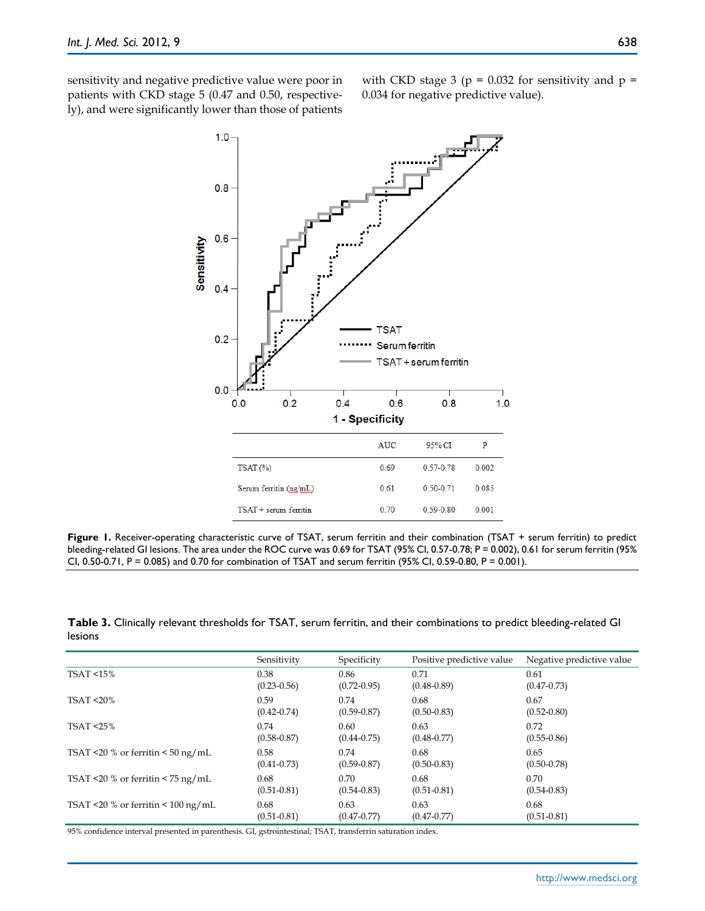sensitivity and negative predictive value were poor in patients with CKD stage 5 (0.47 and 0.50, respectively), and were significantly lower than those of patients with CKD stage 3 ( $p = 0.032$  for sensitivity and  $p =$ 0.034 for negative predictive value).



**Figure 1.** Receiver-operating characteristic curve of TSAT, serum ferritin and their combination (TSAT + serum ferritin) to predict bleeding-related GI lesions. The area under the ROC curve was 0.69 for TSAT (95% CI, 0.57-0.78; P = 0.002), 0.61 for serum ferritin (95% CI, 0.50-0.71, P = 0.085) and 0.70 for combination of TSAT and serum ferritin (95% CI, 0.59-0.80, P = 0.001).

**Table 3.** Clinically relevant thresholds for TSAT, serum ferritin, and their combinations to predict bleeding-related GI lesions

|                                              | Sensitivity     | Specificity     | Positive predictive value | Negative predictive value |
|----------------------------------------------|-----------------|-----------------|---------------------------|---------------------------|
| <b>TSAT &lt;15%</b>                          | 0.38            | 0.86            | 0.71                      | 0.61                      |
|                                              | $(0.23 - 0.56)$ | $(0.72 - 0.95)$ | $(0.48 - 0.89)$           | $(0.47 - 0.73)$           |
| $TSAT < 20\%$                                | 0.59            | 0.74            | 0.68                      | 0.67                      |
|                                              | $(0.42 - 0.74)$ | $(0.59 - 0.87)$ | $(0.50 - 0.83)$           | $(0.52 - 0.80)$           |
| TSAT < 25%                                   | 0.74            | 0.60            | 0.63                      | 0.72                      |
|                                              | $(0.58 - 0.87)$ | $(0.44 - 0.75)$ | $(0.48 - 0.77)$           | $(0.55 - 0.86)$           |
| TSAT <20 % or ferritin < $50 \text{ ng/mL}$  | 0.58            | 0.74            | 0.68                      | 0.65                      |
|                                              | $(0.41 - 0.73)$ | $(0.59 - 0.87)$ | $(0.50 - 0.83)$           | $(0.50 - 0.78)$           |
| TSAT <20 % or ferritin < $75 \text{ ng/mL}$  | 0.68            | 0.70            | 0.68                      | 0.70                      |
|                                              | $(0.51 - 0.81)$ | $(0.54 - 0.83)$ | $(0.51 - 0.81)$           | $(0.54 - 0.83)$           |
| TSAT <20 % or ferritin < $100 \text{ ng/mL}$ | 0.68            | 0.63            | 0.63                      | 0.68                      |
|                                              | $(0.51 - 0.81)$ | $(0.47 - 0.77)$ | $(0.47 - 0.77)$           | $(0.51 - 0.81)$           |

95% confidence interval presented in parenthesis. GI, gstrointestinal; TSAT, transferrin saturation index.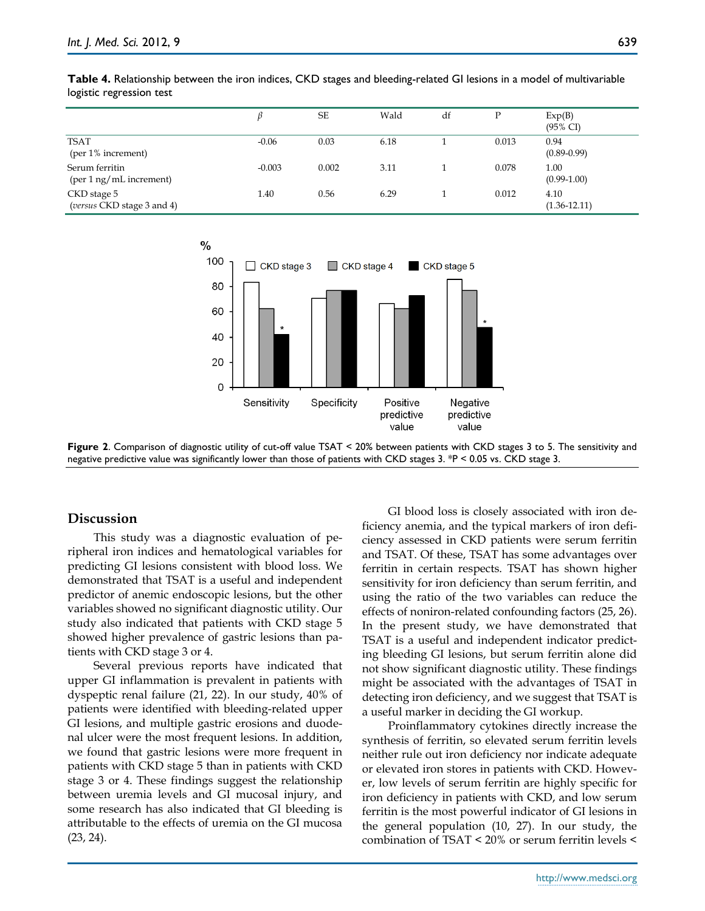|                                           |          | <b>SE</b> | Wald | df | D     | Exp(B)<br>$(95\% \text{ CI})$ |
|-------------------------------------------|----------|-----------|------|----|-------|-------------------------------|
| TSAT<br>$(per 1\%$ increment)             | $-0.06$  | 0.03      | 6.18 |    | 0.013 | 0.94<br>$(0.89 - 0.99)$       |
| Serum ferritin<br>(per 1 ng/mL increment) | $-0.003$ | 0.002     | 3.11 |    | 0.078 | 1.00<br>$(0.99-1.00)$         |
| CKD stage 5<br>(versus CKD stage 3 and 4) | 1.40     | 0.56      | 6.29 |    | 0.012 | 4.10<br>$(1.36 - 12.11)$      |

**Table 4.** Relationship between the iron indices, CKD stages and bleeding-related GI lesions in a model of multivariable logistic regression test



**Figure 2**. Comparison of diagnostic utility of cut-off value TSAT < 20% between patients with CKD stages 3 to 5. The sensitivity and negative predictive value was significantly lower than those of patients with CKD stages 3. \*P < 0.05 vs. CKD stage 3.

# **Discussion**

This study was a diagnostic evaluation of peripheral iron indices and hematological variables for predicting GI lesions consistent with blood loss. We demonstrated that TSAT is a useful and independent predictor of anemic endoscopic lesions, but the other variables showed no significant diagnostic utility. Our study also indicated that patients with CKD stage 5 showed higher prevalence of gastric lesions than patients with CKD stage 3 or 4.

Several previous reports have indicated that upper GI inflammation is prevalent in patients with dyspeptic renal failure (21, 22). In our study, 40% of patients were identified with bleeding-related upper GI lesions, and multiple gastric erosions and duodenal ulcer were the most frequent lesions. In addition, we found that gastric lesions were more frequent in patients with CKD stage 5 than in patients with CKD stage 3 or 4. These findings suggest the relationship between uremia levels and GI mucosal injury, and some research has also indicated that GI bleeding is attributable to the effects of uremia on the GI mucosa (23, 24).

GI blood loss is closely associated with iron deficiency anemia, and the typical markers of iron deficiency assessed in CKD patients were serum ferritin and TSAT. Of these, TSAT has some advantages over ferritin in certain respects. TSAT has shown higher sensitivity for iron deficiency than serum ferritin, and using the ratio of the two variables can reduce the effects of noniron-related confounding factors (25, 26). In the present study, we have demonstrated that TSAT is a useful and independent indicator predicting bleeding GI lesions, but serum ferritin alone did not show significant diagnostic utility. These findings might be associated with the advantages of TSAT in detecting iron deficiency, and we suggest that TSAT is a useful marker in deciding the GI workup.

Proinflammatory cytokines directly increase the synthesis of ferritin, so elevated serum ferritin levels neither rule out iron deficiency nor indicate adequate or elevated iron stores in patients with CKD. However, low levels of serum ferritin are highly specific for iron deficiency in patients with CKD, and low serum ferritin is the most powerful indicator of GI lesions in the general population (10, 27). In our study, the combination of TSAT < 20% or serum ferritin levels <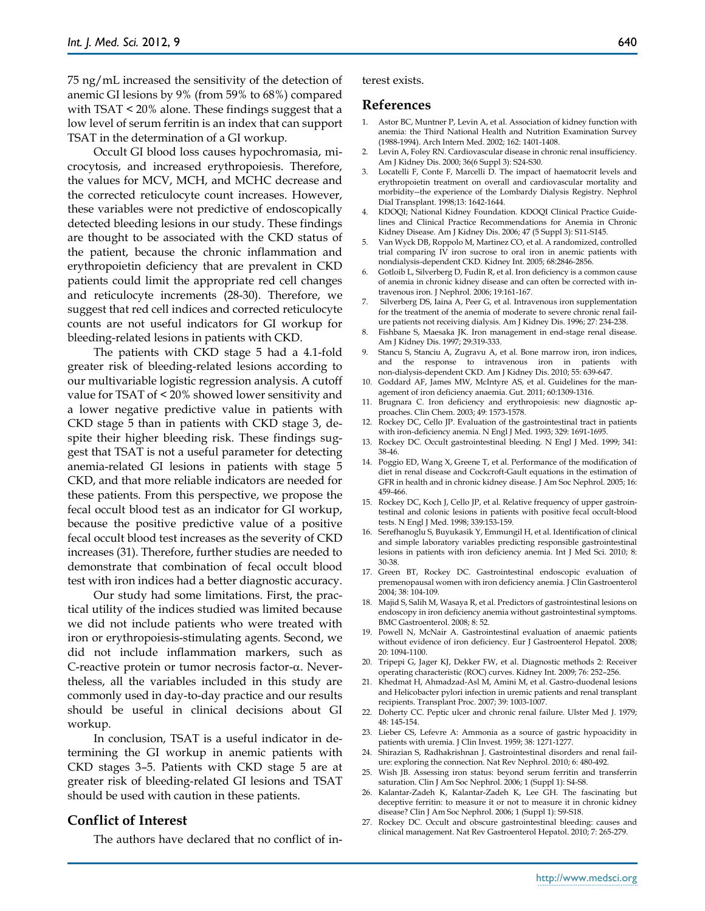75 ng/mL increased the sensitivity of the detection of anemic GI lesions by 9% (from 59% to 68%) compared with TSAT < 20% alone. These findings suggest that a low level of serum ferritin is an index that can support TSAT in the determination of a GI workup.

Occult GI blood loss causes hypochromasia, microcytosis, and increased erythropoiesis. Therefore, the values for MCV, MCH, and MCHC decrease and the corrected reticulocyte count increases. However, these variables were not predictive of endoscopically detected bleeding lesions in our study. These findings are thought to be associated with the CKD status of the patient, because the chronic inflammation and erythropoietin deficiency that are prevalent in CKD patients could limit the appropriate red cell changes and reticulocyte increments (28-30). Therefore, we suggest that red cell indices and corrected reticulocyte counts are not useful indicators for GI workup for bleeding-related lesions in patients with CKD.

The patients with CKD stage 5 had a 4.1-fold greater risk of bleeding-related lesions according to our multivariable logistic regression analysis. A cutoff value for TSAT of < 20% showed lower sensitivity and a lower negative predictive value in patients with CKD stage 5 than in patients with CKD stage 3, despite their higher bleeding risk. These findings suggest that TSAT is not a useful parameter for detecting anemia-related GI lesions in patients with stage 5 CKD, and that more reliable indicators are needed for these patients. From this perspective, we propose the fecal occult blood test as an indicator for GI workup, because the positive predictive value of a positive fecal occult blood test increases as the severity of CKD increases (31). Therefore, further studies are needed to demonstrate that combination of fecal occult blood test with iron indices had a better diagnostic accuracy.

Our study had some limitations. First, the practical utility of the indices studied was limited because we did not include patients who were treated with iron or erythropoiesis-stimulating agents. Second, we did not include inflammation markers, such as C-reactive protein or tumor necrosis factor- $\alpha$ . Nevertheless, all the variables included in this study are commonly used in day-to-day practice and our results should be useful in clinical decisions about GI workup.

In conclusion, TSAT is a useful indicator in determining the GI workup in anemic patients with CKD stages 3–5. Patients with CKD stage 5 are at greater risk of bleeding-related GI lesions and TSAT should be used with caution in these patients.

### **Conflict of Interest**

The authors have declared that no conflict of in-

#### **References**

- 1. Astor BC, Muntner P, Levin A, et al. Association of kidney function with anemia: the Third National Health and Nutrition Examination Survey (1988-1994). Arch Intern Med. 2002; 162: 1401-1408.
- 2. Levin A, Foley RN. Cardiovascular disease in chronic renal insufficiency. Am J Kidney Dis. 2000; 36(6 Suppl 3): S24-S30.
- 3. Locatelli F, Conte F, Marcelli D. The impact of haematocrit levels and erythropoietin treatment on overall and cardiovascular mortality and morbidity--the experience of the Lombardy Dialysis Registry. Nephrol Dial Transplant. 1998;13: 1642-1644.
- 4. KDOQI; National Kidney Foundation. KDOQI Clinical Practice Guidelines and Clinical Practice Recommendations for Anemia in Chronic Kidney Disease. Am J Kidney Dis. 2006; 47 (5 Suppl 3): S11-S145.
- 5. Van Wyck DB, Roppolo M, Martinez CO, et al. A randomized, controlled trial comparing IV iron sucrose to oral iron in anemic patients with nondialysis-dependent CKD. Kidney Int. 2005; 68:2846-2856.
- 6. Gotloib L, Silverberg D, Fudin R, et al. Iron deficiency is a common cause of anemia in chronic kidney disease and can often be corrected with intravenous iron. J Nephrol. 2006; 19:161-167.
- 7. Silverberg DS, Iaina A, Peer G, et al. Intravenous iron supplementation for the treatment of the anemia of moderate to severe chronic renal failure patients not receiving dialysis. Am J Kidney Dis. 1996; 27: 234-238.
- 8. Fishbane S, Maesaka JK. Iron management in end-stage renal disease. Am J Kidney Dis. 1997; 29:319-333.
- 9. Stancu S, Stanciu A, Zugravu A, et al. Bone marrow iron, iron indices, and the response to intravenous iron in patients with non-dialysis-dependent CKD. Am J Kidney Dis. 2010; 55: 639-647.
- 10. Goddard AF, James MW, McIntyre AS, et al. Guidelines for the management of iron deficiency anaemia. Gut. 2011; 60:1309-1316.
- 11. Brugnara C. Iron deficiency and erythropoiesis: new diagnostic approaches. Clin Chem. 2003; 49: 1573-1578.
- 12. Rockey DC, Cello JP. Evaluation of the gastrointestinal tract in patients with iron-deficiency anemia. N Engl J Med. 1993; 329: 1691-1695.
- 13. Rockey DC. Occult gastrointestinal bleeding. N Engl J Med. 1999; 341: 38-46.
- 14. Poggio ED, Wang X, Greene T, et al. Performance of the modification of diet in renal disease and Cockcroft-Gault equations in the estimation of GFR in health and in chronic kidney disease. J Am Soc Nephrol. 2005; 16: 459-466.
- 15. Rockey DC, Koch J, Cello JP, et al. Relative frequency of upper gastrointestinal and colonic lesions in patients with positive fecal occult-blood tests. N Engl J Med. 1998; 339:153-159.
- 16. Serefhanoglu S, Buyukasik Y, Emmungil H, et al. Identification of clinical and simple laboratory variables predicting responsible gastrointestinal lesions in patients with iron deficiency anemia. Int J Med Sci. 2010; 8: 30-38.
- 17. Green BT, Rockey DC. Gastrointestinal endoscopic evaluation of premenopausal women with iron deficiency anemia. J Clin Gastroenterol 2004; 38: 104-109.
- 18. Majid S, Salih M, Wasaya R, et al. Predictors of gastrointestinal lesions on endoscopy in iron deficiency anemia without gastrointestinal symptoms. BMC Gastroenterol. 2008; 8: 52.
- 19. Powell N, McNair A. Gastrointestinal evaluation of anaemic patients without evidence of iron deficiency. Eur J Gastroenterol Hepatol. 2008; 20: 1094-1100.
- 20. Tripepi G, Jager KJ, Dekker FW, et al. Diagnostic methods 2: Receiver operating characteristic (ROC) curves. Kidney Int. 2009; 76: 252–256.
- 21. Khedmat H, Ahmadzad-Asl M, Amini M, et al. Gastro-duodenal lesions and Helicobacter pylori infection in uremic patients and renal transplant recipients. Transplant Proc. 2007; 39: 1003-1007.
- 22. Doherty CC. Peptic ulcer and chronic renal failure. Ulster Med J. 1979; 48: 145-154.
- 23. Lieber CS, Lefevre A: Ammonia as a source of gastric hypoacidity in patients with uremia. J Clin Invest. 1959; 38: 1271-1277.
- 24. Shirazian S, Radhakrishnan J. Gastrointestinal disorders and renal failure: exploring the connection. Nat Rev Nephrol. 2010; 6: 480-492.
- 25. Wish JB. Assessing iron status: beyond serum ferritin and transferrin saturation. Clin J Am Soc Nephrol. 2006; 1 (Suppl 1): S4-S8.
- 26. Kalantar-Zadeh K, Kalantar-Zadeh K, Lee GH. The fascinating but deceptive ferritin: to measure it or not to measure it in chronic kidney disease? Clin J Am Soc Nephrol. 2006; 1 (Suppl 1): S9-S18.
- 27. Rockey DC. Occult and obscure gastrointestinal bleeding: causes and clinical management. Nat Rev Gastroenterol Hepatol. 2010; 7: 265-279.